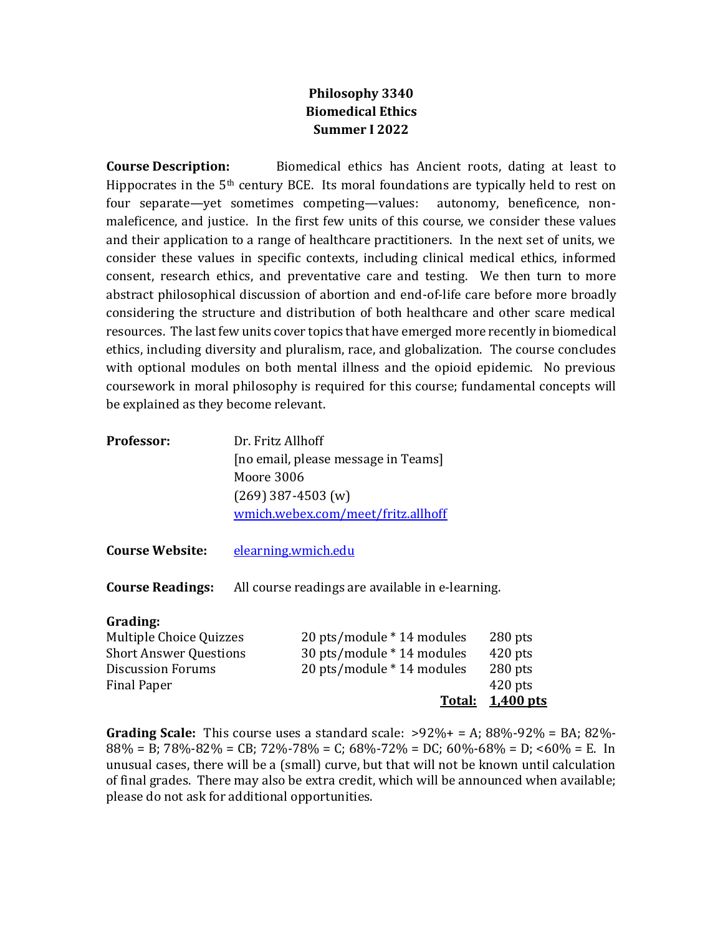## **Philosophy 3340 Biomedical Ethics Summer I 2022**

**Course Description:** Biomedical ethics has Ancient roots, dating at least to Hippocrates in the  $5<sup>th</sup>$  century BCE. Its moral foundations are typically held to rest on four separate—yet sometimes competing—values: autonomy, beneficence, nonmaleficence, and justice. In the first few units of this course, we consider these values and their application to a range of healthcare practitioners. In the next set of units, we consider these values in specific contexts, including clinical medical ethics, informed consent, research ethics, and preventative care and testing. We then turn to more abstract philosophical discussion of abortion and end-of-life care before more broadly considering the structure and distribution of both healthcare and other scare medical resources. The last few units cover topics that have emerged more recently in biomedical ethics, including diversity and pluralism, race, and globalization. The course concludes with optional modules on both mental illness and the opioid epidemic. No previous coursework in moral philosophy is required for this course; fundamental concepts will be explained as they become relevant.

| Professor: | Dr. Fritz Allhoff                   |
|------------|-------------------------------------|
|            | [no email, please message in Teams] |
|            | Moore 3006                          |
|            | $(269)$ 387-4503 (w)                |
|            | wmich.webex.com/meet/fritz.allhoff  |
|            |                                     |
|            | Course Website cleaning wished      |

**Course Website:** [elearning.wmich.edu](http://elearning.wmich.edu/)

**Course Readings:** All course readings are available in e-learning.

## **Grading:**

|                               |                            | <b>Total: 1,400 pts</b> |
|-------------------------------|----------------------------|-------------------------|
| Final Paper                   |                            | $420$ pts               |
| Discussion Forums             | 20 pts/module * 14 modules | $280$ pts               |
| <b>Short Answer Questions</b> | 30 pts/module * 14 modules | $420$ pts               |
| Multiple Choice Quizzes       | 20 pts/module * 14 modules | $280$ pts               |

**Grading Scale:** This course uses a standard scale: >92%+ = A; 88%-92% = BA; 82%- 88% = B; 78%-82% = CB; 72%-78% = C; 68%-72% = DC; 60%-68% = D; <60% = E. In unusual cases, there will be a (small) curve, but that will not be known until calculation of final grades. There may also be extra credit, which will be announced when available; please do not ask for additional opportunities.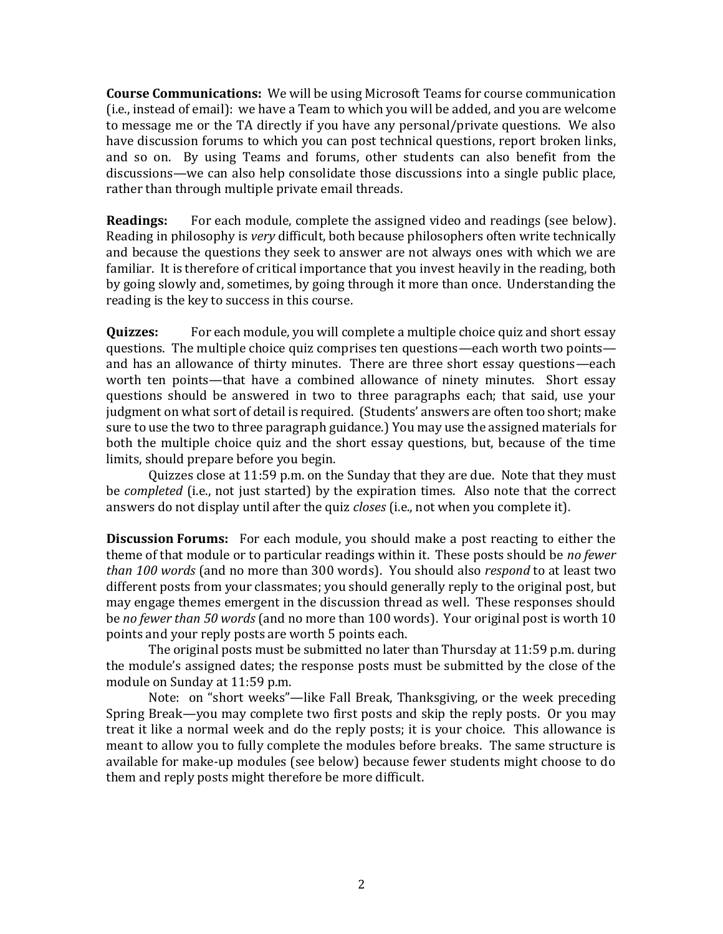**Course Communications:** We will be using Microsoft Teams for course communication (i.e., instead of email): we have a Team to which you will be added, and you are welcome to message me or the TA directly if you have any personal/private questions. We also have discussion forums to which you can post technical questions, report broken links, and so on. By using Teams and forums, other students can also benefit from the discussions—we can also help consolidate those discussions into a single public place, rather than through multiple private email threads.

**Readings:** For each module, complete the assigned video and readings (see below). Reading in philosophy is *very* difficult, both because philosophers often write technically and because the questions they seek to answer are not always ones with which we are familiar. It is therefore of critical importance that you invest heavily in the reading, both by going slowly and, sometimes, by going through it more than once. Understanding the reading is the key to success in this course.

**Quizzes:** For each module, you will complete a multiple choice quiz and short essay questions. The multiple choice quiz comprises ten questions—each worth two points and has an allowance of thirty minutes. There are three short essay questions—each worth ten points—that have a combined allowance of ninety minutes. Short essay questions should be answered in two to three paragraphs each; that said, use your judgment on what sort of detail is required. (Students' answers are often too short; make sure to use the two to three paragraph guidance.) You may use the assigned materials for both the multiple choice quiz and the short essay questions, but, because of the time limits, should prepare before you begin.

Quizzes close at 11:59 p.m. on the Sunday that they are due. Note that they must be *completed* (i.e., not just started) by the expiration times. Also note that the correct answers do not display until after the quiz *closes* (i.e., not when you complete it).

**Discussion Forums:** For each module, you should make a post reacting to either the theme of that module or to particular readings within it. These posts should be *no fewer than 100 words* (and no more than 300 words). You should also *respond* to at least two different posts from your classmates; you should generally reply to the original post, but may engage themes emergent in the discussion thread as well. These responses should be *no fewer than 50 words* (and no more than 100 words). Your original post is worth 10 points and your reply posts are worth 5 points each.

The original posts must be submitted no later than Thursday at 11:59 p.m. during the module's assigned dates; the response posts must be submitted by the close of the module on Sunday at 11:59 p.m.

Note: on "short weeks"—like Fall Break, Thanksgiving, or the week preceding Spring Break—you may complete two first posts and skip the reply posts. Or you may treat it like a normal week and do the reply posts; it is your choice. This allowance is meant to allow you to fully complete the modules before breaks. The same structure is available for make-up modules (see below) because fewer students might choose to do them and reply posts might therefore be more difficult.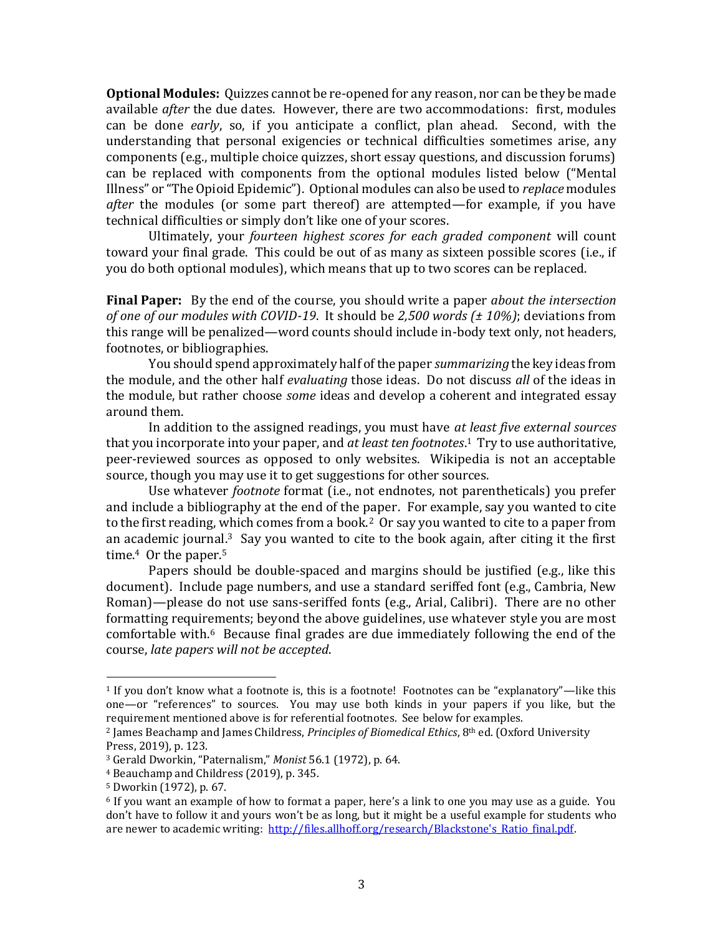**Optional Modules:** Quizzes cannot be re-opened for any reason, nor can be they be made available *after* the due dates. However, there are two accommodations: first, modules can be done *early*, so, if you anticipate a conflict, plan ahead. Second, with the understanding that personal exigencies or technical difficulties sometimes arise, any components (e.g., multiple choice quizzes, short essay questions, and discussion forums) can be replaced with components from the optional modules listed below ("Mental Illness" or "The Opioid Epidemic"). Optional modules can also be used to *replace* modules *after* the modules (or some part thereof) are attempted—for example, if you have technical difficulties or simply don't like one of your scores.

Ultimately, your *fourteen highest scores for each graded component* will count toward your final grade. This could be out of as many as sixteen possible scores (i.e., if you do both optional modules), which means that up to two scores can be replaced.

**Final Paper:** By the end of the course, you should write a paper *about the intersection of one of our modules with COVID-19*. It should be *2,500 words (± 10%)*; deviations from this range will be penalized—word counts should include in-body text only, not headers, footnotes, or bibliographies.

You should spend approximately half of the paper *summarizing* the key ideas from the module, and the other half *evaluating* those ideas. Do not discuss *all* of the ideas in the module, but rather choose *some* ideas and develop a coherent and integrated essay around them.

In addition to the assigned readings, you must have *at least five external sources*  that you incorporate into your paper, and *at least ten footnotes*. <sup>1</sup> Try to use authoritative, peer-reviewed sources as opposed to only websites. Wikipedia is not an acceptable source, though you may use it to get suggestions for other sources.

Use whatever *footnote* format (i.e., not endnotes, not parentheticals) you prefer and include a bibliography at the end of the paper. For example, say you wanted to cite to the first reading, which comes from a book.<sup>2</sup> Or say you wanted to cite to a paper from an academic journal. $3$  Say you wanted to cite to the book again, after citing it the first time.<sup>4</sup> Or the paper.<sup>5</sup>

Papers should be double-spaced and margins should be justified (e.g., like this document). Include page numbers, and use a standard seriffed font (e.g., Cambria, New Roman)—please do not use sans-seriffed fonts (e.g., Arial, Calibri). There are no other formatting requirements; beyond the above guidelines, use whatever style you are most comfortable with. $6$  Because final grades are due immediately following the end of the course, *late papers will not be accepted*.

<sup>1</sup> If you don't know what a footnote is, this is a footnote! Footnotes can be "explanatory"—like this one—or "references" to sources. You may use both kinds in your papers if you like, but the requirement mentioned above is for referential footnotes. See below for examples.

<sup>2</sup> James Beachamp and James Childress, *Principles of Biomedical Ethics*, 8th ed. (Oxford University Press, 2019), p. 123.

<sup>3</sup> Gerald Dworkin, "Paternalism," *Monist* 56.1 (1972), p. 64.

<sup>4</sup> Beauchamp and Childress (2019), p. 345.

<sup>5</sup> Dworkin (1972), p. 67.

 $6$  If you want an example of how to format a paper, here's a link to one you may use as a guide. You don't have to follow it and yours won't be as long, but it might be a useful example for students who are newer to academic writing: http://files.allhoff.org/research/Blackstone's Ratio final.pdf.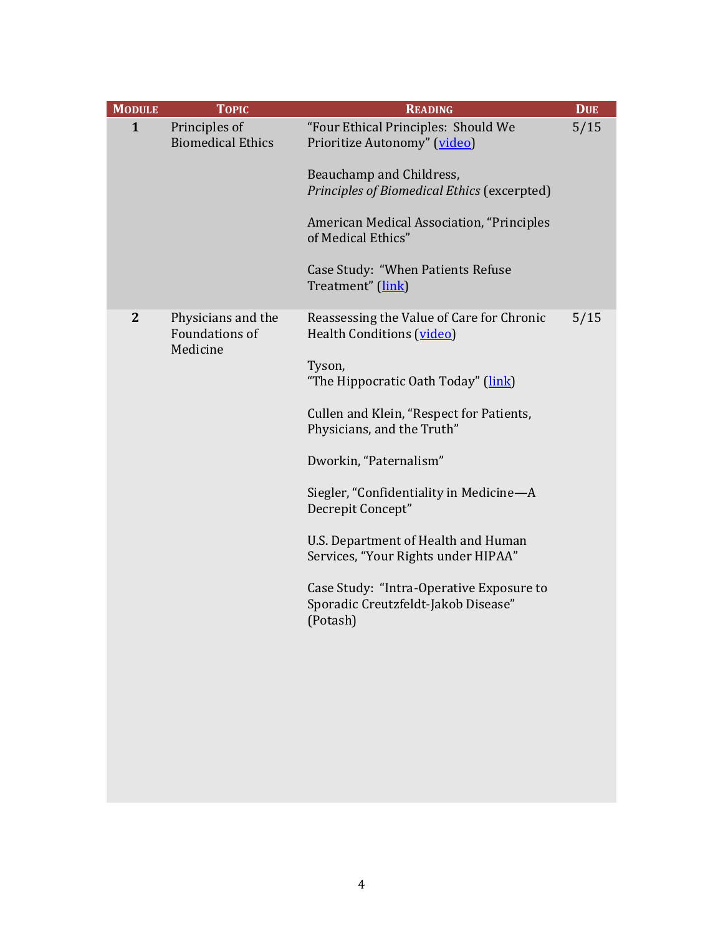| <b>MODULE</b>  | <b>TOPIC</b>                                     | <b>READING</b>                                                                                                                                                                                                                                                                                                                                                                                                                                                           | <b>DUE</b> |
|----------------|--------------------------------------------------|--------------------------------------------------------------------------------------------------------------------------------------------------------------------------------------------------------------------------------------------------------------------------------------------------------------------------------------------------------------------------------------------------------------------------------------------------------------------------|------------|
| $\mathbf{1}$   | Principles of<br><b>Biomedical Ethics</b>        | "Four Ethical Principles: Should We<br>Prioritize Autonomy" (video)<br>Beauchamp and Childress,<br>Principles of Biomedical Ethics (excerpted)<br>American Medical Association, "Principles<br>of Medical Ethics"<br>Case Study: "When Patients Refuse<br>Treatment" (link)                                                                                                                                                                                              | 5/15       |
|                |                                                  |                                                                                                                                                                                                                                                                                                                                                                                                                                                                          |            |
| $\overline{2}$ | Physicians and the<br>Foundations of<br>Medicine | Reassessing the Value of Care for Chronic<br>Health Conditions (video)<br>Tyson,<br>"The Hippocratic Oath Today" (link)<br>Cullen and Klein, "Respect for Patients,<br>Physicians, and the Truth"<br>Dworkin, "Paternalism"<br>Siegler, "Confidentiality in Medicine-A<br>Decrepit Concept"<br>U.S. Department of Health and Human<br>Services, "Your Rights under HIPAA"<br>Case Study: "Intra-Operative Exposure to<br>Sporadic Creutzfeldt-Jakob Disease"<br>(Potash) | 5/15       |
|                |                                                  |                                                                                                                                                                                                                                                                                                                                                                                                                                                                          |            |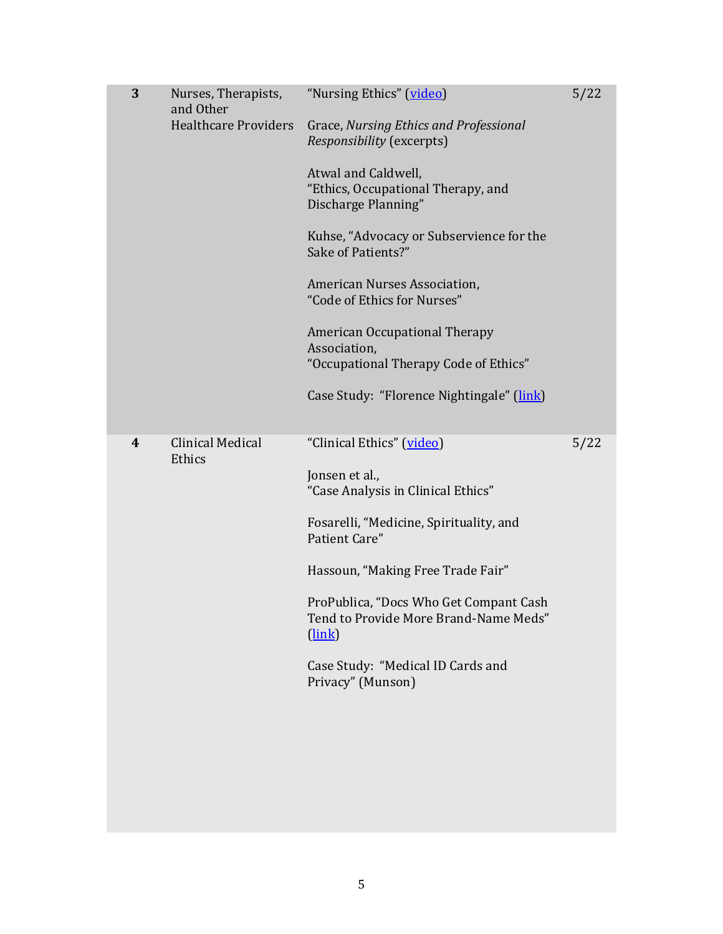| 3 | Nurses, Therapists,<br>and Other<br><b>Healthcare Providers</b> | "Nursing Ethics" (video)<br>Grace, Nursing Ethics and Professional<br>Responsibility (excerpts)<br>Atwal and Caldwell,<br>"Ethics, Occupational Therapy, and<br>Discharge Planning"<br>Kuhse, "Advocacy or Subservience for the<br>Sake of Patients?"<br>American Nurses Association,<br>"Code of Ethics for Nurses"<br>American Occupational Therapy<br>Association,<br>"Occupational Therapy Code of Ethics"<br>Case Study: "Florence Nightingale" (link) | 5/22 |
|---|-----------------------------------------------------------------|-------------------------------------------------------------------------------------------------------------------------------------------------------------------------------------------------------------------------------------------------------------------------------------------------------------------------------------------------------------------------------------------------------------------------------------------------------------|------|
| 4 | <b>Clinical Medical</b><br>Ethics                               | "Clinical Ethics" (video)<br>Jonsen et al.,<br>"Case Analysis in Clinical Ethics"<br>Fosarelli, "Medicine, Spirituality, and<br>Patient Care"<br>Hassoun, "Making Free Trade Fair"<br>ProPublica, "Docs Who Get Compant Cash<br>Tend to Provide More Brand-Name Meds"<br>$(\overline{\text{link}})$<br>Case Study: "Medical ID Cards and<br>Privacy" (Munson)                                                                                               | 5/22 |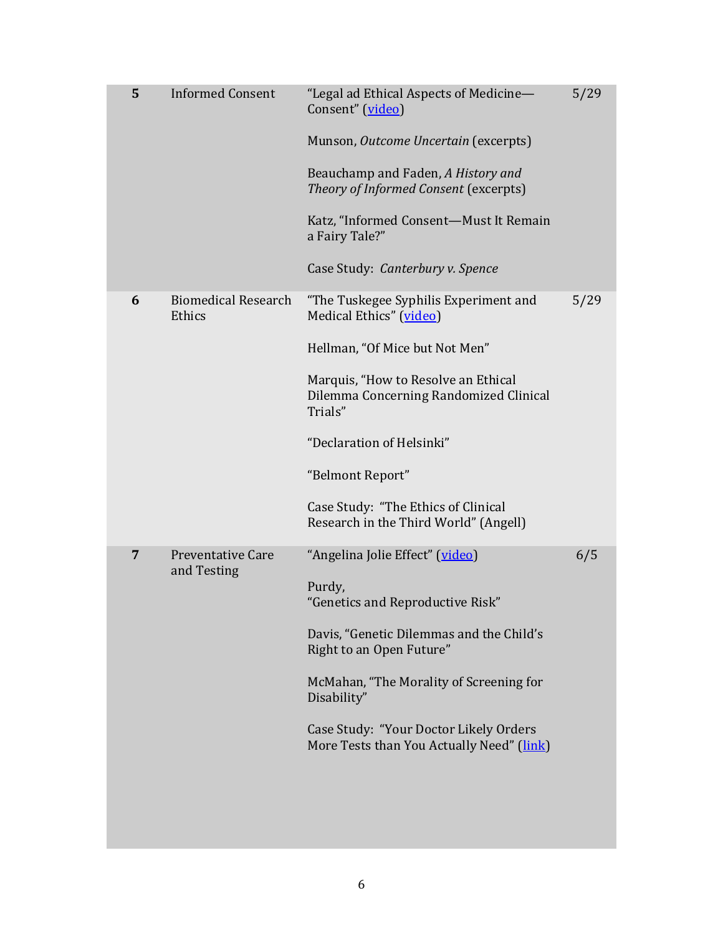| 5              | <b>Informed Consent</b>                 | "Legal ad Ethical Aspects of Medicine-<br>Consent" (video)<br>Munson, Outcome Uncertain (excerpts)<br>Beauchamp and Faden, A History and<br>Theory of Informed Consent (excerpts)<br>Katz, "Informed Consent-Must It Remain<br>a Fairy Tale?"<br>Case Study: Canterbury v. Spence                                               | 5/29 |
|----------------|-----------------------------------------|---------------------------------------------------------------------------------------------------------------------------------------------------------------------------------------------------------------------------------------------------------------------------------------------------------------------------------|------|
| 6              | <b>Biomedical Research</b><br>Ethics    | "The Tuskegee Syphilis Experiment and<br>Medical Ethics" (video)<br>Hellman, "Of Mice but Not Men"<br>Marquis, "How to Resolve an Ethical<br>Dilemma Concerning Randomized Clinical<br>Trials"<br>"Declaration of Helsinki"<br>"Belmont Report"<br>Case Study: "The Ethics of Clinical<br>Research in the Third World" (Angell) | 5/29 |
| $\overline{7}$ | <b>Preventative Care</b><br>and Testing | "Angelina Jolie Effect" (video)<br>Purdy,<br>"Genetics and Reproductive Risk"<br>Davis, "Genetic Dilemmas and the Child's<br>Right to an Open Future"<br>McMahan, "The Morality of Screening for<br>Disability"<br>Case Study: "Your Doctor Likely Orders<br>More Tests than You Actually Need" (link)                          | 6/5  |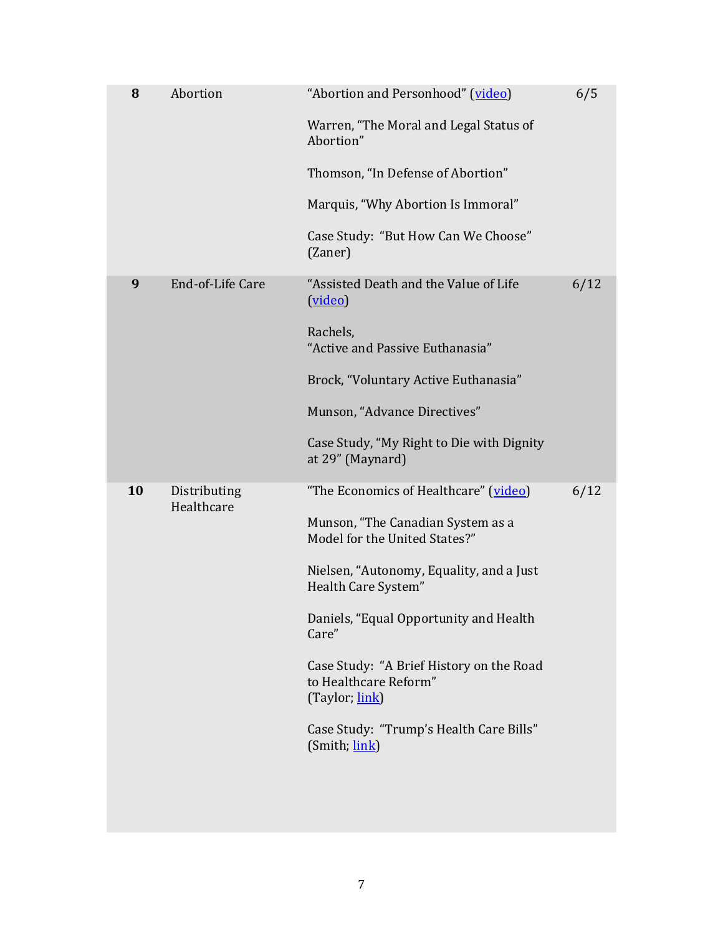| 8  | Abortion                   | "Abortion and Personhood" (video)<br>Warren, "The Moral and Legal Status of<br>Abortion"<br>Thomson, "In Defense of Abortion"<br>Marquis, "Why Abortion Is Immoral"<br>Case Study: "But How Can We Choose"<br>(Zaner)                                                                                                                                                                | 6/5  |
|----|----------------------------|--------------------------------------------------------------------------------------------------------------------------------------------------------------------------------------------------------------------------------------------------------------------------------------------------------------------------------------------------------------------------------------|------|
| 9  | End-of-Life Care           | "Assisted Death and the Value of Life<br>(video)<br>Rachels,<br>"Active and Passive Euthanasia"<br>Brock, "Voluntary Active Euthanasia"<br>Munson, "Advance Directives"<br>Case Study, "My Right to Die with Dignity<br>at 29" (Maynard)                                                                                                                                             | 6/12 |
| 10 | Distributing<br>Healthcare | "The Economics of Healthcare" (video)<br>Munson, "The Canadian System as a<br>Model for the United States?"<br>Nielsen, "Autonomy, Equality, and a Just<br>Health Care System"<br>Daniels, "Equal Opportunity and Health<br>Care"<br>Case Study: "A Brief History on the Road<br>to Healthcare Reform"<br>(Taylor; link)<br>Case Study: "Trump's Health Care Bills"<br>(Smith; link) | 6/12 |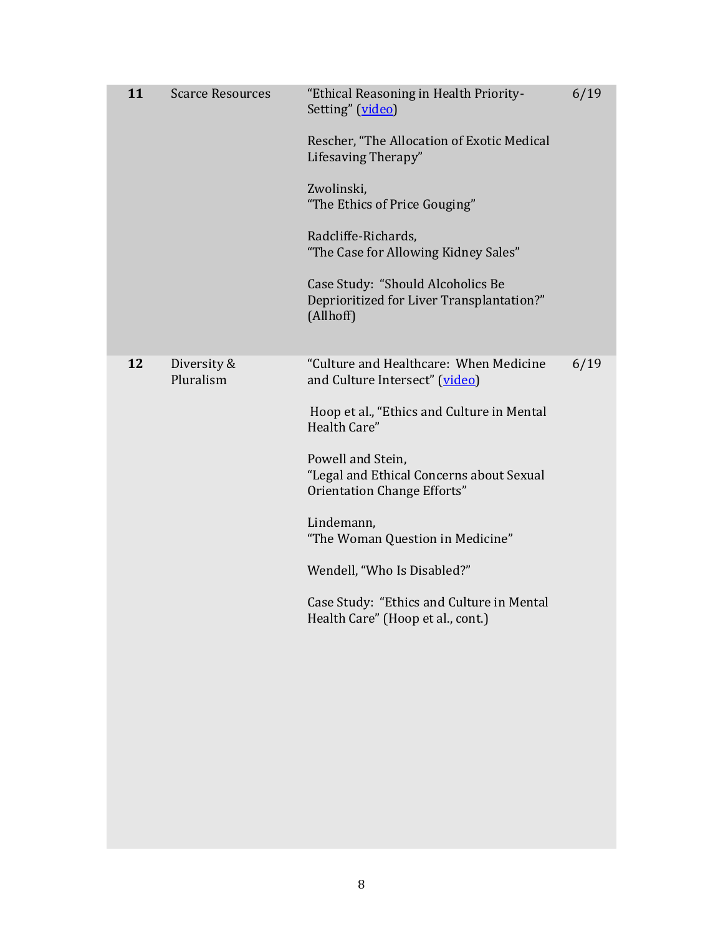| 11 | <b>Scarce Resources</b>  | "Ethical Reasoning in Health Priority-<br>Setting" (video)<br>Rescher, "The Allocation of Exotic Medical<br>Lifesaving Therapy"<br>Zwolinski,<br>"The Ethics of Price Gouging"<br>Radcliffe-Richards,<br>"The Case for Allowing Kidney Sales"<br>Case Study: "Should Alcoholics Be<br>Deprioritized for Liver Transplantation?"<br>(Allhoff)                                                              | 6/19 |
|----|--------------------------|-----------------------------------------------------------------------------------------------------------------------------------------------------------------------------------------------------------------------------------------------------------------------------------------------------------------------------------------------------------------------------------------------------------|------|
| 12 | Diversity &<br>Pluralism | "Culture and Healthcare: When Medicine<br>and Culture Intersect" (video)<br>Hoop et al., "Ethics and Culture in Mental<br>Health Care"<br>Powell and Stein,<br>"Legal and Ethical Concerns about Sexual<br>Orientation Change Efforts"<br>Lindemann,<br>"The Woman Question in Medicine"<br>Wendell, "Who Is Disabled?"<br>Case Study: "Ethics and Culture in Mental<br>Health Care" (Hoop et al., cont.) | 6/19 |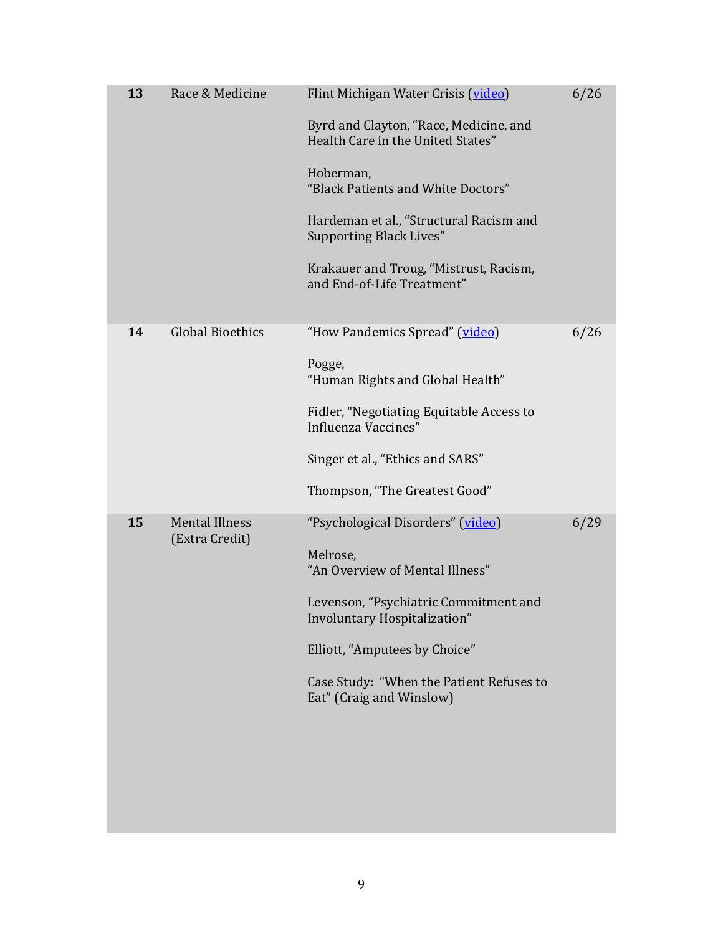| 13 | Race & Medicine                         | Flint Michigan Water Crisis (video)<br>Byrd and Clayton, "Race, Medicine, and<br>Health Care in the United States"<br>Hoberman,<br>"Black Patients and White Doctors"<br>Hardeman et al., "Structural Racism and<br><b>Supporting Black Lives"</b><br>Krakauer and Troug, "Mistrust, Racism,<br>and End-of-Life Treatment" | 6/26 |
|----|-----------------------------------------|----------------------------------------------------------------------------------------------------------------------------------------------------------------------------------------------------------------------------------------------------------------------------------------------------------------------------|------|
| 14 | <b>Global Bioethics</b>                 | "How Pandemics Spread" (video)<br>Pogge,<br>"Human Rights and Global Health"<br>Fidler, "Negotiating Equitable Access to<br>Influenza Vaccines"<br>Singer et al., "Ethics and SARS"<br>Thompson, "The Greatest Good"                                                                                                       | 6/26 |
| 15 | <b>Mental Illness</b><br>(Extra Credit) | "Psychological Disorders" (video)<br>Melrose,<br>"An Overview of Mental Illness"<br>Levenson, "Psychiatric Commitment and<br>Involuntary Hospitalization"<br>Elliott, "Amputees by Choice"<br>Case Study: "When the Patient Refuses to<br>Eat" (Craig and Winslow)                                                         | 6/29 |